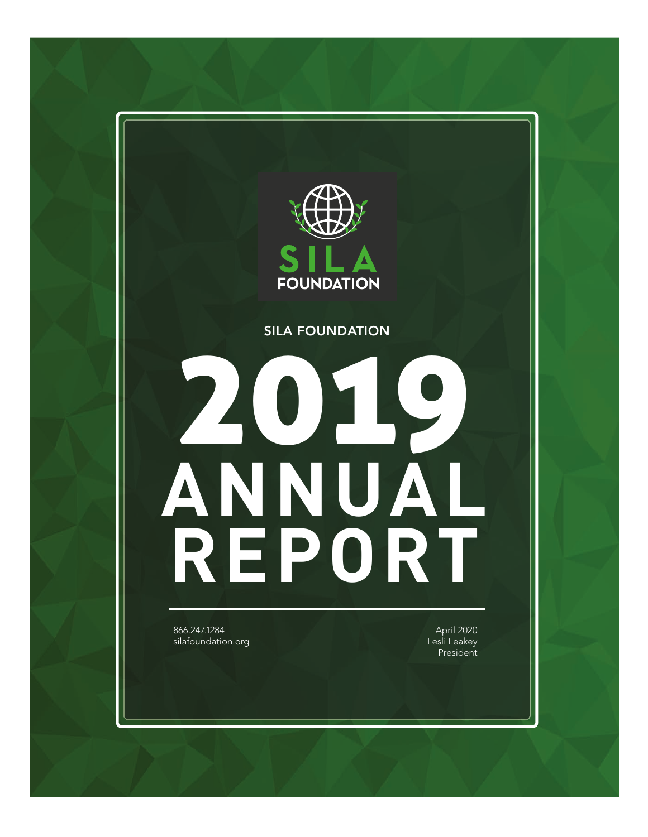

#### SILA FOUNDATION

# 2019 **ANNUAL REPORT**

866.247.1284 silafoundation.org

April 2020 Lesli Leakey President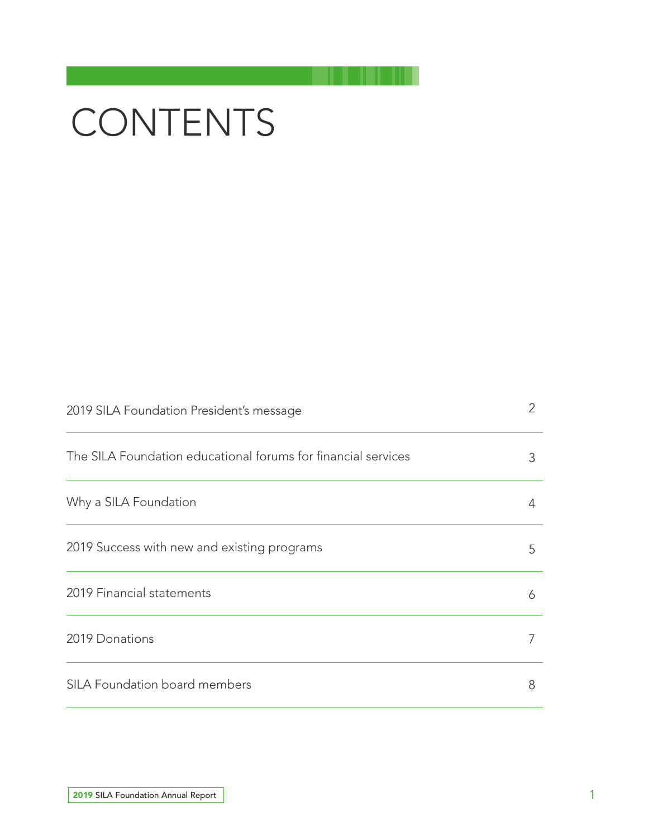## **CONTENTS**

| 2019 SILA Foundation President's message                      | $\overline{2}$ |
|---------------------------------------------------------------|----------------|
| The SILA Foundation educational forums for financial services | 3              |
| Why a SILA Foundation                                         | 4              |
| 2019 Success with new and existing programs                   | 5              |
| 2019 Financial statements                                     | 6              |
| 2019 Donations                                                | 7              |
| SILA Foundation board members                                 | 8              |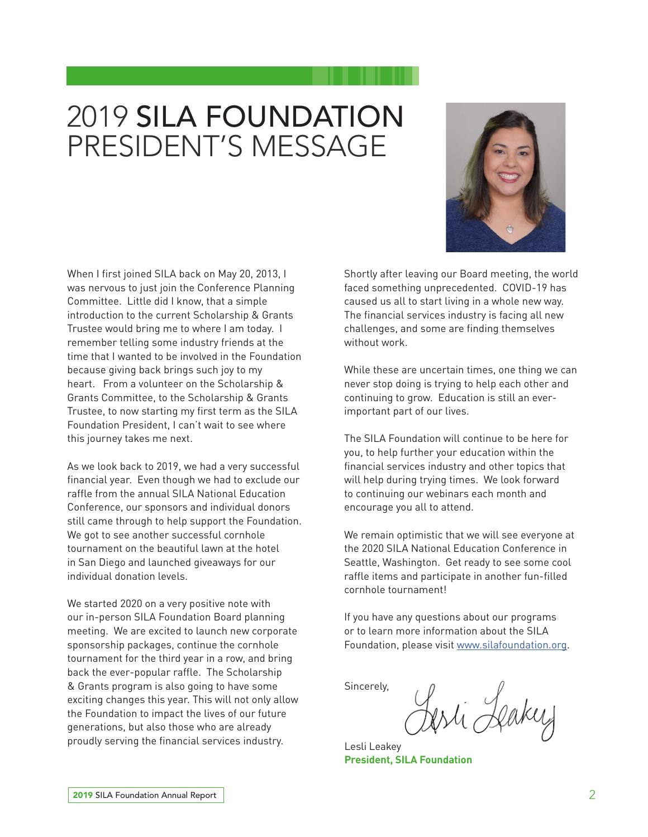## 2019 SILA FOUNDATION PRESIDENT'S MESSAGE



When I first joined SILA back on May 20, 2013, I was nervous to just join the Conference Planning Committee. Little did I know, that a simple introduction to the current Scholarship & Grants Trustee would bring me to where I am today. I remember telling some industry friends at the time that I wanted to be involved in the Foundation because giving back brings such joy to my heart. From a volunteer on the Scholarship & Grants Committee, to the Scholarship & Grants Trustee, to now starting my first term as the SILA Foundation President, I can't wait to see where this journey takes me next.

As we look back to 2019, we had a very successful financial year. Even though we had to exclude our raffle from the annual SILA National Education Conference, our sponsors and individual donors still came through to help support the Foundation. We got to see another successful cornhole tournament on the beautiful lawn at the hotel in San Diego and launched giveaways for our individual donation levels.

We started 2020 on a very positive note with our in-person SILA Foundation Board planning meeting. We are excited to launch new corporate sponsorship packages, continue the cornhole tournament for the third year in a row, and bring back the ever-popular raffle. The Scholarship & Grants program is also going to have some exciting changes this year. This will not only allow the Foundation to impact the lives of our future generations, but also those who are already proudly serving the financial services industry.

Shortly after leaving our Board meeting, the world faced something unprecedented. COVID-19 has caused us all to start living in a whole new way. The financial services industry is facing all new challenges, and some are finding themselves without work.

While these are uncertain times, one thing we can never stop doing is trying to help each other and continuing to grow. Education is still an everimportant part of our lives.

The SILA Foundation will continue to be here for you, to help further your education within the financial services industry and other topics that will help during trying times. We look forward to continuing our webinars each month and encourage you all to attend.

We remain optimistic that we will see everyone at the 2020 SILA National Education Conference in Seattle, Washington. Get ready to see some cool raffle items and participate in another fun-filled cornhole tournament!

If you have any questions about our programs or to learn more information about the SILA Foundation, please visit www.silafoundation.org.

Sincerely,

esti Leaker

Lesli Leakey **President, SILA Foundation**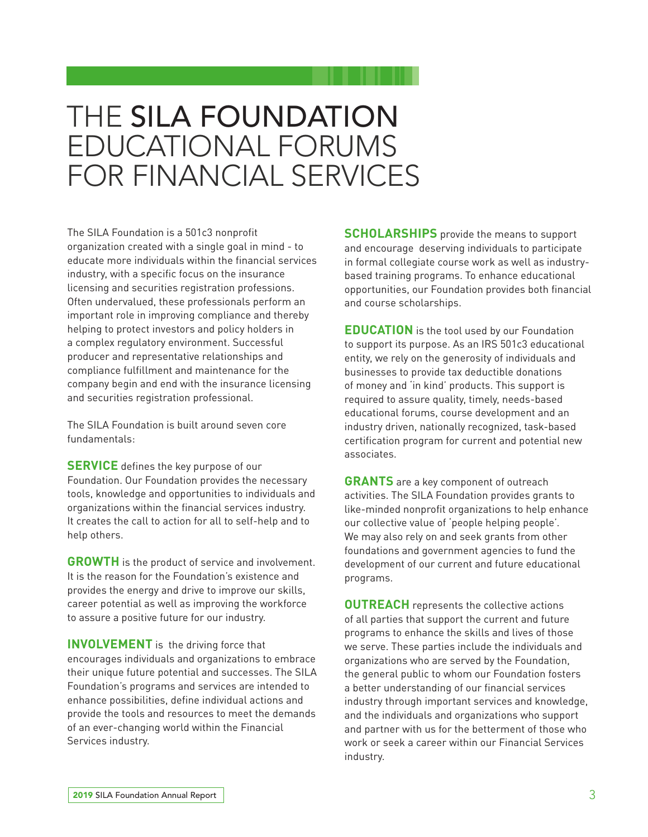## THE SILA FOUNDATION EDUCATIONAL FORUMS FOR FINANCIAL SERVICES

The SILA Foundation is a 501c3 nonprofit organization created with a single goal in mind - to educate more individuals within the financial services industry, with a specific focus on the insurance licensing and securities registration professions. Often undervalued, these professionals perform an important role in improving compliance and thereby helping to protect investors and policy holders in a complex regulatory environment. Successful producer and representative relationships and compliance fulfillment and maintenance for the company begin and end with the insurance licensing and securities registration professional.

The SILA Foundation is built around seven core fundamentals:

**SERVICE** defines the key purpose of our Foundation. Our Foundation provides the necessary tools, knowledge and opportunities to individuals and organizations within the financial services industry. It creates the call to action for all to self-help and to help others.

**GROWTH** is the product of service and involvement. It is the reason for the Foundation's existence and provides the energy and drive to improve our skills, career potential as well as improving the workforce to assure a positive future for our industry.

**INVOLVEMENT** is the driving force that encourages individuals and organizations to embrace their unique future potential and successes. The SILA Foundation's programs and services are intended to enhance possibilities, define individual actions and provide the tools and resources to meet the demands of an ever-changing world within the Financial Services industry.

**SCHOLARSHIPS** provide the means to support and encourage deserving individuals to participate in formal collegiate course work as well as industrybased training programs. To enhance educational opportunities, our Foundation provides both financial and course scholarships.

**EDUCATION** is the tool used by our Foundation to support its purpose. As an IRS 501c3 educational entity, we rely on the generosity of individuals and businesses to provide tax deductible donations of money and 'in kind' products. This support is required to assure quality, timely, needs-based educational forums, course development and an industry driven, nationally recognized, task-based certification program for current and potential new associates.

**GRANTS** are a key component of outreach activities. The SILA Foundation provides grants to like-minded nonprofit organizations to help enhance our collective value of 'people helping people'. We may also rely on and seek grants from other foundations and government agencies to fund the development of our current and future educational programs.

**OUTREACH** represents the collective actions of all parties that support the current and future programs to enhance the skills and lives of those we serve. These parties include the individuals and organizations who are served by the Foundation, the general public to whom our Foundation fosters a better understanding of our financial services industry through important services and knowledge, and the individuals and organizations who support and partner with us for the betterment of those who work or seek a career within our Financial Services industry.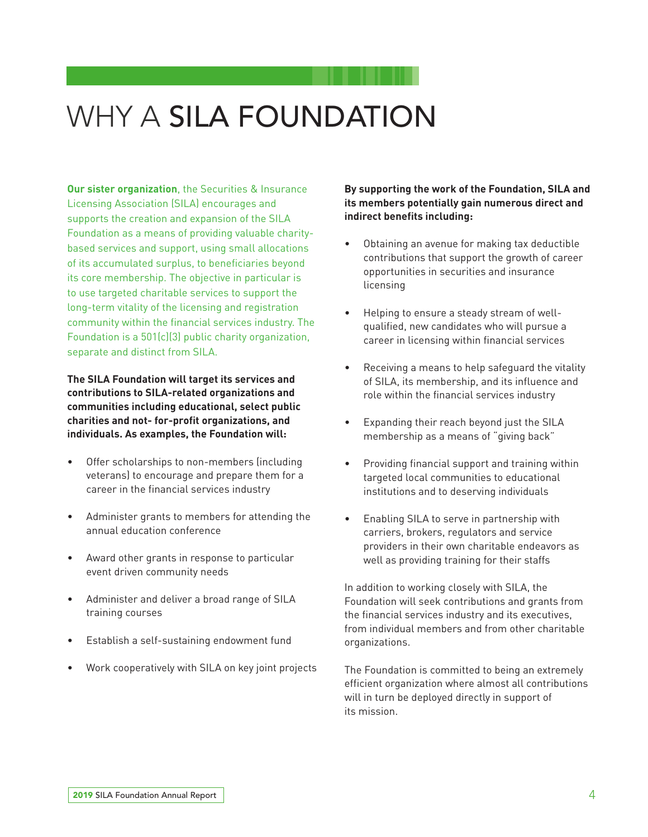## WHY A SILA FOUNDATION

**Our sister organization**, the Securities & Insurance Licensing Association (SILA) encourages and supports the creation and expansion of the SILA Foundation as a means of providing valuable charitybased services and support, using small allocations of its accumulated surplus, to beneficiaries beyond its core membership. The objective in particular is to use targeted charitable services to support the long-term vitality of the licensing and registration community within the financial services industry. The Foundation is a 501(c)(3) public charity organization, separate and distinct from SILA.

**The SILA Foundation will target its services and contributions to SILA-related organizations and communities including educational, select public charities and not- for-profit organizations, and individuals. As examples, the Foundation will:** 

- Offer scholarships to non-members (including veterans) to encourage and prepare them for a career in the financial services industry
- Administer grants to members for attending the annual education conference
- Award other grants in response to particular event driven community needs
- Administer and deliver a broad range of SILA training courses
- Establish a self-sustaining endowment fund
- Work cooperatively with SILA on key joint projects

**By supporting the work of the Foundation, SILA and its members potentially gain numerous direct and indirect benefits including:**

- Obtaining an avenue for making tax deductible contributions that support the growth of career opportunities in securities and insurance licensing
- Helping to ensure a steady stream of wellqualified, new candidates who will pursue a career in licensing within financial services
- Receiving a means to help safeguard the vitality of SILA, its membership, and its influence and role within the financial services industry
- Expanding their reach beyond just the SILA membership as a means of "giving back"
- Providing financial support and training within targeted local communities to educational institutions and to deserving individuals
- Enabling SILA to serve in partnership with carriers, brokers, regulators and service providers in their own charitable endeavors as well as providing training for their staffs

In addition to working closely with SILA, the Foundation will seek contributions and grants from the financial services industry and its executives, from individual members and from other charitable organizations.

The Foundation is committed to being an extremely efficient organization where almost all contributions will in turn be deployed directly in support of its mission.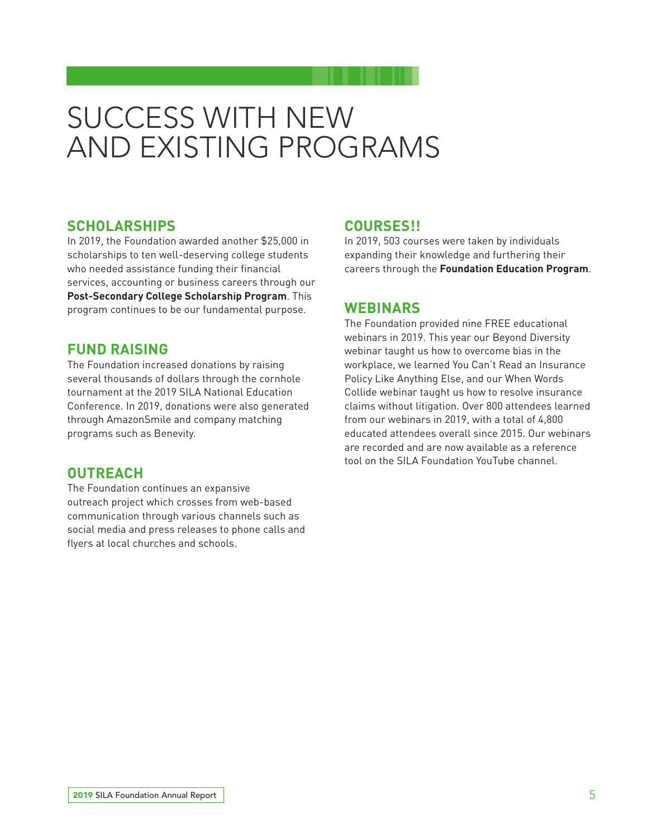## SUCCESS WITH NEW AND EXISTING PROGRAMS

#### **SCHOLARSHIPS**

In 2019, the Foundation awarded another \$25,000 in scholarships to ten well-deserving college students who needed assistance funding their financial services, accounting or business careers through our **Post-Secondary College Scholarship Program**. This program continues to be our fundamental purpose.

#### **FUND RAISING**

The Foundation increased donations by raising several thousands of dollars through the cornhole tournament at the 2019 SILA National Education Conference. In 2019, donations were also generated through AmazonSmile and company matching programs such as Benevity.

#### **OUTREACH**

The Foundation continues an expansive outreach project which crosses from web-based communication through various channels such as social media and press releases to phone calls and flyers at local churches and schools.

#### **COURSES!!**

In 2019, 503 courses were taken by individuals expanding their knowledge and furthering their careers through the **Foundation Education Program**.

#### **WEBINARS**

The Foundation provided nine FREE educational webinars in 2019. This year our Beyond Diversity webinar taught us how to overcome bias in the workplace, we learned You Can't Read an Insurance Policy Like Anything Else, and our When Words Collide webinar taught us how to resolve insurance claims without litigation. Over 800 attendees learned from our webinars in 2019, with a total of 4,800 educated attendees overall since 2015. Our webinars are recorded and are now available as a reference tool on the SILA Foundation YouTube channel.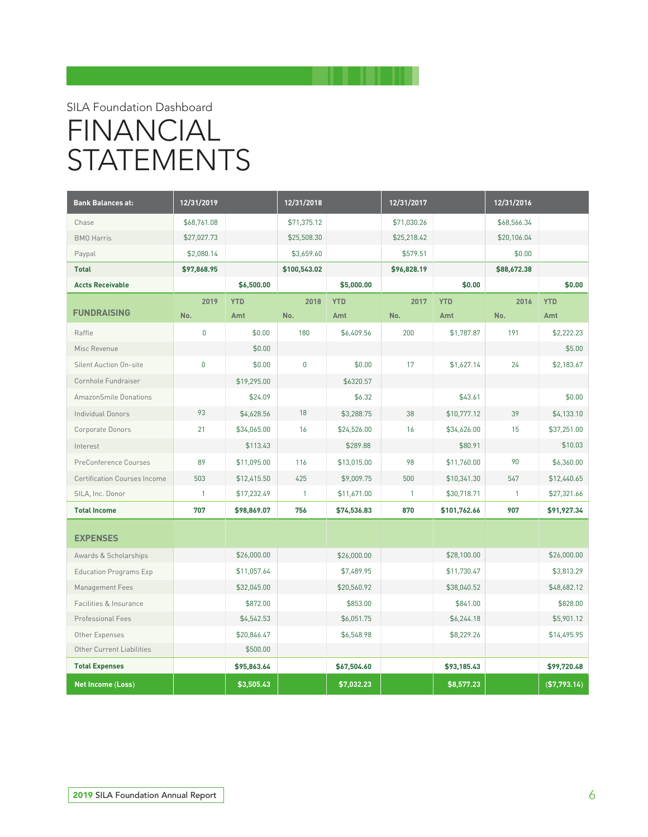### SILA Foundation Dashboard FINANCIAL **STATEMENTS**

| <b>Bank Balances at:</b>            | 12/31/2019<br>12/31/2018 |             | 12/31/2017   |             | 12/31/2016  |              |              |              |
|-------------------------------------|--------------------------|-------------|--------------|-------------|-------------|--------------|--------------|--------------|
| Chase                               | \$68,761.08              |             | \$71,375.12  |             | \$71,030.26 |              | \$68,566.34  |              |
| <b>BMO</b> Harris                   | \$27,027.73              |             | \$25,508.30  |             | \$25,218.42 |              | \$20,106.04  |              |
| Paypal                              | \$2,080.14               |             | \$3,659.60   |             | \$579.51    |              | \$0.00       |              |
| <b>Total</b>                        | \$97,868.95              |             | \$100,543.02 |             | \$96,828.19 |              | \$88,672.38  |              |
| <b>Accts Receivable</b>             |                          | \$6,500.00  |              | \$5,000.00  |             | \$0.00       |              | \$0.00       |
|                                     | 2019                     | <b>YTD</b>  | 2018         | <b>YTD</b>  | 2017        | <b>YTD</b>   | 2016         | <b>YTD</b>   |
| <b>FUNDRAISING</b>                  | No.                      | Amt         | No.          | Amt         | No.         | Amt          | No.          | Amt          |
| Raffle                              | $\mathbf{0}$             | \$0.00      | 180          | \$6,409.56  | 200         | \$1,787.87   | 191          | \$2,222.23   |
| Misc Revenue                        |                          | \$0.00      |              |             |             |              |              | \$5.00       |
| <b>Silent Auction On-site</b>       | 0                        | \$0.00      | $\pmb{0}$    | \$0.00      | 17          | \$1,627.14   | 24           | \$2,183.67   |
| Cornhole Fundraiser                 |                          | \$19,295.00 |              | \$6320.57   |             |              |              |              |
| <b>AmazonSmile Donations</b>        |                          | \$24.09     |              | \$6.32      |             | \$43.61      |              | \$0.00       |
| <b>Individual Donors</b>            | 93                       | \$4,628.56  | 18           | \$3,288.75  | 38          | \$10,777.12  | 39           | \$4,133.10   |
| Corporate Donors                    | 21                       | \$34,065.00 | 16           | \$24,526.00 | 16          | \$34,626.00  | 15           | \$37,251.00  |
| Interest                            |                          | \$113.43    |              | \$289.88    |             | \$80.91      |              | \$10.03      |
| PreConference Courses               | 89                       | \$11,095.00 | 116          | \$13,015.00 | 98          | \$11,760.00  | 90           | \$6,360.00   |
| <b>Certification Courses Income</b> | 503                      | \$12,415.50 | 425          | \$9,009.75  | 500         | \$10,341.30  | 547          | \$12,440.65  |
| SILA, Inc. Donor                    | $\mathbf{1}$             | \$17,232.49 | 1            | \$11,671.00 | 1           | \$30,718.71  | $\mathbf{1}$ | \$27,321.66  |
| <b>Total Income</b>                 | 707                      | \$98,869.07 | 756          | \$74,536.83 | 870         | \$101,762.66 | 907          | \$91,927.34  |
| <b>EXPENSES</b>                     |                          |             |              |             |             |              |              |              |
| Awards & Scholarships               |                          | \$26,000.00 |              | \$26,000.00 |             | \$28,100.00  |              | \$26,000.00  |
| <b>Education Programs Exp</b>       |                          | \$11,057.64 |              | \$7,489.95  |             | \$11,730.47  |              | \$3,813.29   |
| Management Fees                     |                          | \$32,045.00 |              | \$20,560.92 |             | \$38,040.52  |              | \$48,682.12  |
| Facilities & Insurance              |                          | \$872.00    |              | \$853.00    |             | \$841.00     |              | \$828.00     |
| Professional Fees                   |                          | \$4,542.53  |              | \$6,051.75  |             | \$6,244.18   |              | \$5,901.12   |
| Other Expenses                      |                          | \$20,846.47 |              | \$6,548.98  |             | \$8,229.26   |              | \$14,495.95  |
| Other Current Liabilities           |                          | \$500.00    |              |             |             |              |              |              |
| <b>Total Expenses</b>               |                          | \$95,863.64 |              | \$67,504.60 |             | \$93,185.43  |              | \$99,720.48  |
| Net Income (Loss)                   |                          | \$3,505.43  |              | \$7,032.23  |             | \$8,577.23   |              | (\$7,793.14) |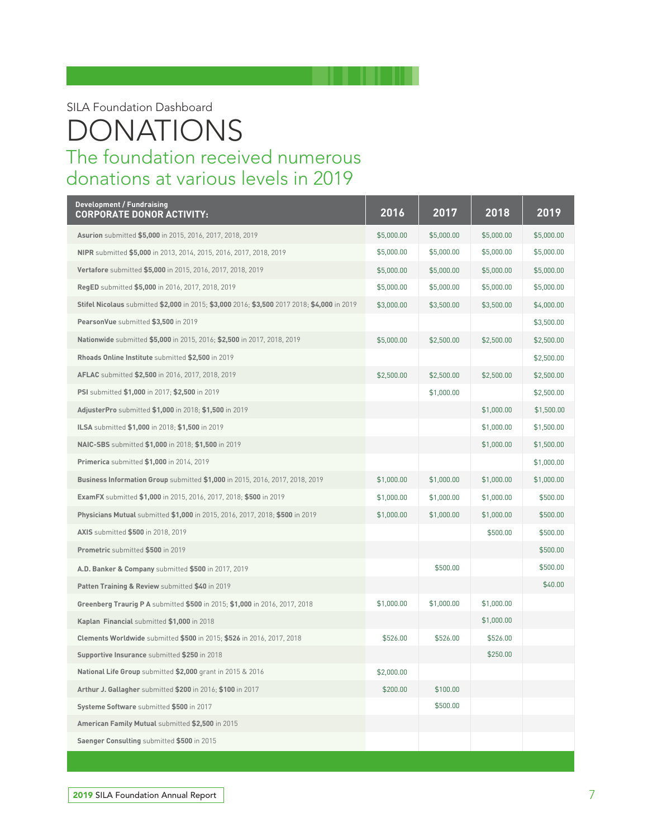SILA Foundation Dashboard

#### The foundation received numerous donations at various levels in 2019 DONATIONS

| <b>Development / Fundraising</b><br><b>CORPORATE DONOR ACTIVITY:</b>                        | 2016       | 2017       | 2018       | 2019       |
|---------------------------------------------------------------------------------------------|------------|------------|------------|------------|
| Asurion submitted \$5,000 in 2015, 2016, 2017, 2018, 2019                                   | \$5,000.00 | \$5,000.00 | \$5,000.00 | \$5,000.00 |
| NIPR submitted \$5,000 in 2013, 2014, 2015, 2016, 2017, 2018, 2019                          | \$5,000.00 | \$5,000.00 | \$5,000.00 | \$5,000.00 |
| Vertafore submitted \$5,000 in 2015, 2016, 2017, 2018, 2019                                 | \$5,000.00 | \$5,000.00 | \$5,000.00 | \$5,000.00 |
| RegED submitted \$5,000 in 2016, 2017, 2018, 2019                                           | \$5,000.00 | \$5,000.00 | \$5,000.00 | \$5,000.00 |
| Stifel Nicolaus submitted \$2,000 in 2015; \$3,000 2016; \$3,500 2017 2018; \$4,000 in 2019 | \$3,000.00 | \$3,500.00 | \$3,500.00 | \$4,000.00 |
| PearsonVue submitted \$3,500 in 2019                                                        |            |            |            | \$3,500.00 |
| Nationwide submitted \$5,000 in 2015, 2016; \$2,500 in 2017, 2018, 2019                     | \$5,000.00 | \$2,500.00 | \$2,500.00 | \$2,500.00 |
| Rhoads Online Institute submitted \$2,500 in 2019                                           |            |            |            | \$2,500.00 |
| AFLAC submitted \$2,500 in 2016, 2017, 2018, 2019                                           | \$2,500.00 | \$2,500.00 | \$2,500.00 | \$2,500.00 |
| PSI submitted \$1,000 in 2017; \$2,500 in 2019                                              |            | \$1,000.00 |            | \$2,500.00 |
| AdjusterPro submitted \$1,000 in 2018; \$1,500 in 2019                                      |            |            | \$1,000.00 | \$1,500.00 |
| ILSA submitted \$1,000 in 2018; \$1,500 in 2019                                             |            |            | \$1,000.00 | \$1,500.00 |
| NAIC-SBS submitted \$1,000 in 2018; \$1,500 in 2019                                         |            |            | \$1,000.00 | \$1,500.00 |
| <b>Primerica</b> submitted \$1,000 in 2014, 2019                                            |            |            |            | \$1,000.00 |
| Business Information Group submitted \$1,000 in 2015, 2016, 2017, 2018, 2019                | \$1,000.00 | \$1,000.00 | \$1,000.00 | \$1,000.00 |
| <b>ExamFX</b> submitted \$1,000 in 2015, 2016, 2017, 2018; \$500 in 2019                    | \$1,000.00 | \$1,000.00 | \$1,000.00 | \$500.00   |
| Physicians Mutual submitted \$1,000 in 2015, 2016, 2017, 2018; \$500 in 2019                | \$1,000.00 | \$1,000.00 | \$1,000.00 | \$500.00   |
| <b>AXIS</b> submitted \$500 in 2018, 2019                                                   |            |            | \$500.00   | \$500.00   |
| Prometric submitted \$500 in 2019                                                           |            |            |            | \$500.00   |
| A.D. Banker & Company submitted \$500 in 2017, 2019                                         |            | \$500.00   |            | \$500.00   |
| Patten Training & Review submitted \$40 in 2019                                             |            |            |            | \$40.00    |
| Greenberg Traurig P A submitted \$500 in 2015; \$1,000 in 2016, 2017, 2018                  | \$1,000.00 | \$1,000.00 | \$1,000.00 |            |
| Kaplan Financial submitted \$1,000 in 2018                                                  |            |            | \$1,000.00 |            |
| Clements Worldwide submitted \$500 in 2015; \$526 in 2016, 2017, 2018                       | \$526.00   | \$526.00   | \$526.00   |            |
| <b>Supportive Insurance</b> submitted \$250 in 2018                                         |            |            | \$250.00   |            |
| National Life Group submitted \$2,000 grant in 2015 & 2016                                  | \$2,000.00 |            |            |            |
| Arthur J. Gallagher submitted \$200 in 2016; \$100 in 2017                                  | \$200.00   | \$100.00   |            |            |
| Systeme Software submitted \$500 in 2017                                                    |            | \$500.00   |            |            |
| American Family Mutual submitted \$2,500 in 2015                                            |            |            |            |            |
| Saenger Consulting submitted \$500 in 2015                                                  |            |            |            |            |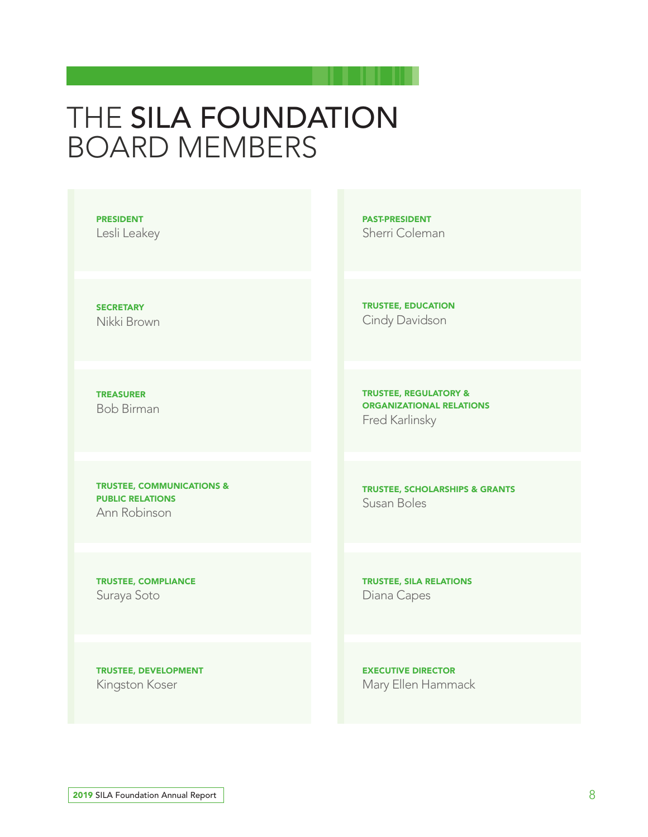## THE SILA FOUNDATION BOARD MEMBERS

PRESIDENT

Lesli Leakey

**SECRETARY** Nikki Brown

TREASURER Bob Birman

TRUSTEE, COMMUNICATIONS & PUBLIC RELATIONS Ann Robinson

TRUSTEE, COMPLIANCE Suraya Soto

PAST-PRESIDENT Sherri Coleman

TRUSTEE, EDUCATION Cindy Davidson

TRUSTEE, REGULATORY & ORGANIZATIONAL RELATIONS Fred Karlinsky

TRUSTEE, SCHOLARSHIPS & GRANTS Susan Boles

TRUSTEE, SILA RELATIONS Diana Capes

TRUSTEE, DEVELOPMENT Kingston Koser

EXECUTIVE DIRECTOR Mary Ellen Hammack